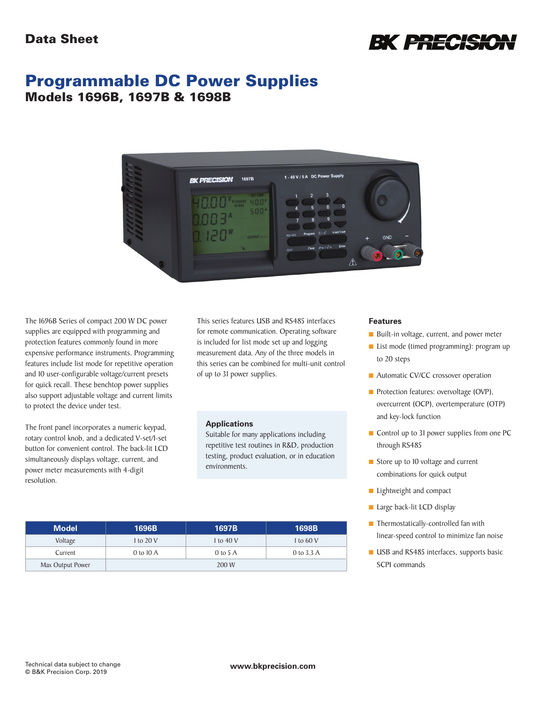

# Programmable DC Power Supplies Models 1696B, 1697B & 1698B



The 1696B Series of compact 200 W DC power supplies are equipped with programming and protection features commonly found in more expensive performance instruments. Programming features include list mode for repetitive operation and 10 user-configurable voltage/current presets for quick recall. These benchtop power supplies also support adjustable voltage and current limits to protect the device under test.

The front panel incorporates a numeric keypad, rotary control knob, and a dedicated V-set/I-set button for convenient control. The back-lit LCD simultaneously displays voltage, current, and power meter measurements with 4-digit resolution.

This series features USB and RS485 interfaces for remote communication. Operating software is included for list mode set up and logging measurement data. Any of the three models in this series can be combined for multi-unit control of up to 31 power supplies.

#### **Applications**

Suitable for many applications including repetitive test routines in R&D, production testing, product evaluation, or in education environments.

| Features |
|----------|
|----------|

- Built-in voltage, current, and power meter
- List mode (timed programming): program up to 20 steps
- Automatic CV/CC crossover operation
- **n** Protection features: overvoltage (OVP), overcurrent (OCP), overtemperature (OTP) and key-lock function
- $\blacksquare$  Control up to 31 power supplies from one PC through RS485
- $\blacksquare$  Store up to 10 voltage and current combinations for quick output
- $\blacksquare$  Lightweight and compact
- **n** Large back-lit LCD display
- $\blacksquare$  Thermostatically-controlled fan with linear-speed control to minimize fan noise
- **u** USB and RS485 interfaces, supports basic SCPI commands

| <b>Model</b>     | 1696B               | 1697B      | 1698B      |
|------------------|---------------------|------------|------------|
| Voltage          | 1 to 20 V           | 1 to 40 V  | 1 to 60 V  |
| Current          | 0 to $10 \text{ A}$ | $0$ to 5 A | 0 to 3.3 A |
| Max Output Power | 200 W               |            |            |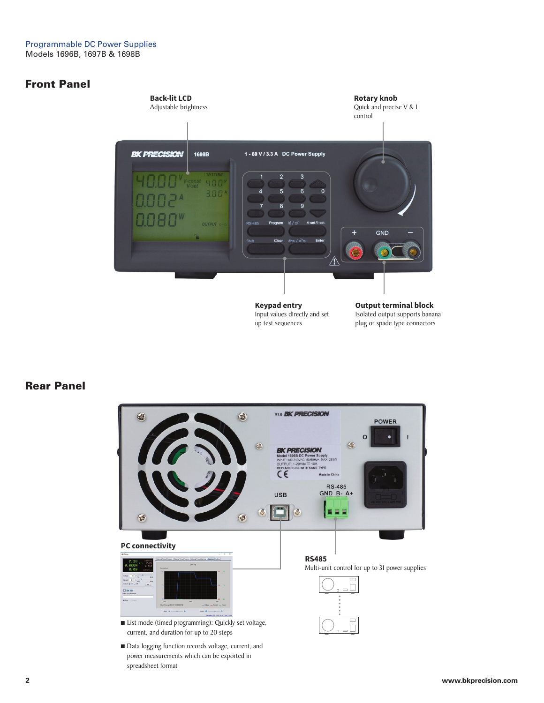### Front Panel



**Keypad entry** Input values directly and set up test sequences

**Output terminal block** Isolated output supports banana plug or spade type connectors

#### Rear Panel



**2 www.bkprecision.com**

spreadsheet format